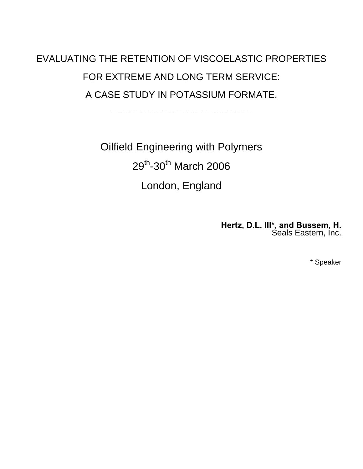# EVALUATING THE RETENTION OF VISCOELASTIC PROPERTIES FOR EXTREME AND LONG TERM SERVICE: A CASE STUDY IN POTASSIUM FORMATE.

-----------------------------------------------------------------------

Oilfield Engineering with Polymers 29<sup>th</sup>-30<sup>th</sup> March 2006 London, England

**Hertz, D.L. III\*, and Bussem, H.** Seals Eastern, Inc.

\* Speaker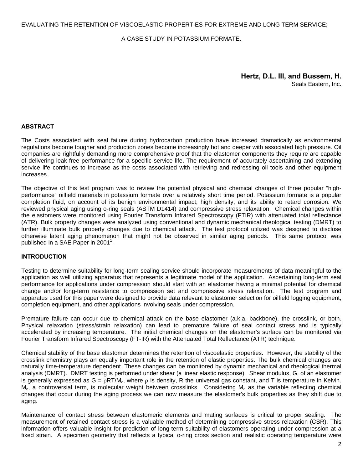## A CASE STUDY IN POTASSIUM FORMATE.

**Hertz, D.L. III, and Bussem, H.** 

Seals Eastern, Inc.

#### **ABSTRACT**

The Costs associated with seal failure during hydrocarbon production have increased dramatically as environmental regulations become tougher and production zones become increasingly hot and deeper with associated high pressure. Oil companies are rightfully demanding more comprehensive proof that the elastomer components they require are capable of delivering leak-free performance for a specific service life. The requirement of accurately ascertaining and extending service life continues to increase as the costs associated with retrieving and redressing oil tools and other equipment increases.

The objective of this test program was to review the potential physical and chemical changes of three popular "highperformance" oilfield materials in potassium formate over a relatively short time period. Potassium formate is a popular completion fluid, on account of its benign environmental impact, high density, and its ability to retard corrosion. We reviewed physical aging using o-ring seals (ASTM D1414) and compressive stress relaxation. Chemical changes within the elastomers were monitored using Fourier Transform Infrared Spectroscopy (FTIR) with attenuated total reflectance (ATR). Bulk property changes were analyzed using conventional and dynamic mechanical rheological testing (DMRT) to further illuminate bulk property changes due to chemical attack. The test protocol utilized was designed to disclose otherwise latent aging phenomenon that might not be observed in similar aging periods. This same protocol was published in a SAE Paper in 2001<sup>1</sup>.

#### **INTRODUCTION**

Testing to determine suitability for long-term sealing service should incorporate measurements of data meaningful to the application as well utilizing apparatus that represents a legitimate model of the application. Ascertaining long-term seal performance for applications under compression should start with an elastomer having a minimal potential for chemical change and/or long-term resistance to compression set and compressive stress relaxation. The test program and apparatus used for this paper were designed to provide data relevant to elastomer selection for oilfield logging equipment, completion equipment, and other applications involving seals under compression.

Premature failure can occur due to chemical attack on the base elastomer (a.k.a. backbone), the crosslink, or both. Physical relaxation (stress/strain relaxation) can lead to premature failure of seal contact stress and is typically accelerated by increasing temperature. The initial chemical changes on the elastomer's surface can be monitored via Fourier Transform Infrared Spectroscopy (FT-IR) with the Attenuated Total Reflectance (ATR) technique.

Chemical stability of the base elastomer determines the retention of viscoelastic properties. However, the stability of the crosslink chemistry plays an equally important role in the retention of elastic properties. The bulk chemical changes are naturally time-temperature dependent. These changes can be monitored by dynamic mechanical and rheological thermal analysis (DMRT). DMRT testing is performed under shear (a linear elastic response). Shear modulus, G, of an elastomer is generally expressed as  $G = \rho RT/M_c$ , where  $\rho$  is density, R the universal gas constant, and T is temperature in Kelvin.  $M_c$ , a controversial term, is molecular weight between crosslinks. Considering  $M_c$  as the variable reflecting chemical changes that occur during the aging process we can now measure the elastomer's bulk properties as they shift due to aging.

Maintenance of contact stress between elastomeric elements and mating surfaces is critical to proper sealing. The measurement of retained contact stress is a valuable method of determining compressive stress relaxation (CSR). This information offers valuable insight for prediction of long-term suitability of elastomers operating under compression at a fixed strain. A specimen geometry that reflects a typical o-ring cross section and realistic operating temperature were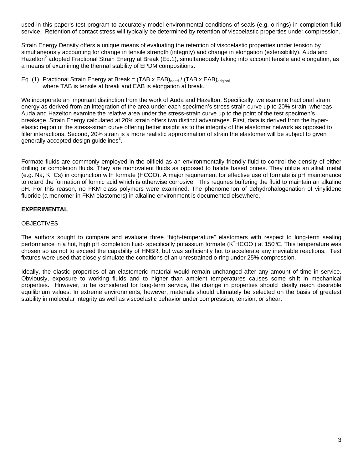used in this paper's test program to accurately model environmental conditions of seals (e.g. o-rings) in completion fluid service. Retention of contact stress will typically be determined by retention of viscoelastic properties under compression.

Strain Energy Density offers a unique means of evaluating the retention of viscoelastic properties under tension by simultaneously accounting for change in tensile strength (integrity) and change in elongation (extensibility). Auda and Hazelton<sup>2</sup> adopted Fractional Strain Energy at Break (Eq.1), simultaneously taking into account tensile and elongation, as a means of examining the thermal stability of EPDM compositions.

Eq. (1) Fractional Strain Energy at Break =  $(TAB \times EAB)_{\text{aged}}$  /  $(TAB \times EAB)_{\text{original}}$ where TAB is tensile at break and EAB is elongation at break.

We incorporate an important distinction from the work of Auda and Hazelton. Specifically, we examine fractional strain energy as derived from an integration of the area under each specimen's stress strain curve up to 20% strain, whereas Auda and Hazelton examine the relative area under the stress-strain curve up to the point of the test specimen's breakage. Strain Energy calculated at 20% strain offers two distinct advantages. First, data is derived from the hyperelastic region of the stress-strain curve offering better insight as to the integrity of the elastomer network as opposed to filler interactions. Second, 20% strain is a more realistic approximation of strain the elastomer will be subject to given generally accepted design guidelines<sup>3</sup>.

Formate fluids are commonly employed in the oilfield as an environmentally friendly fluid to control the density of either drilling or completion fluids. They are monovalent fluids as opposed to halide based brines. They utilize an alkali metal (e.g. Na, K, Cs) in conjunction with formate (HCOO). A major requirement for effective use of formate is pH maintenance to retard the formation of formic acid which is otherwise corrosive. This requires buffering the fluid to maintain an alkaline pH. For this reason, no FKM class polymers were examined. The phenomenon of dehydrohalogenation of vinylidene fluoride (a monomer in FKM elastomers) in alkaline environment is documented elsewhere.

# **EXPERIMENTAL**

# **OBJECTIVES**

The authors sought to compare and evaluate three "high-temperature" elastomers with respect to long-term sealing performance in a hot, high pH completion fluid- specifically potassium formate (K<sup>+</sup>HCOO) at 150°C. This temperature was chosen so as not to exceed the capability of HNBR, but was sufficiently hot to accelerate any inevitable reactions. Test fixtures were used that closely simulate the conditions of an unrestrained o-ring under 25% compression.

Ideally, the elastic properties of an elastomeric material would remain unchanged after any amount of time in service. Obviously, exposure to working fluids and to higher than ambient temperatures causes some shift in mechanical properties. However, to be considered for long-term service, the change in properties should ideally reach desirable equilibrium values. In extreme environments, however, materials should ultimately be selected on the basis of greatest stability in molecular integrity as well as viscoelastic behavior under compression, tension, or shear.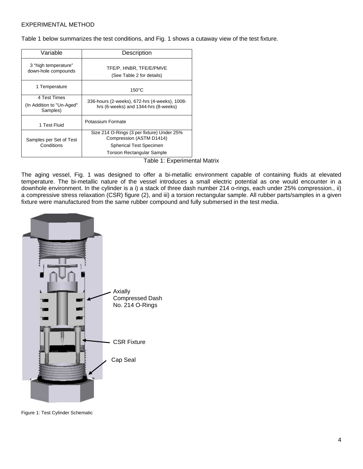## EXPERIMENTAL METHOD

Table 1 below summarizes the test conditions, and Fig. 1 shows a cutaway view of the test fixture.

| Variable                                              | Description                                                                           |  |  |
|-------------------------------------------------------|---------------------------------------------------------------------------------------|--|--|
| 3 "high temperature"<br>down-hole compounds           | TFE/P, HNBR, TFE/E/PMVE<br>(See Table 2 for details)                                  |  |  |
| 1 Temperature                                         | $150^{\circ}$ C                                                                       |  |  |
| 4 Test Times<br>(In Addition to "Un-Aged"<br>Samples) | 336-hours (2-weeks), 672-hrs (4-weeks), 1008-<br>hrs (6-weeks) and 1344-hrs (8-weeks) |  |  |
| 1 Test Fluid                                          | Potassium Formate                                                                     |  |  |
| Samples per Set of Test                               | Size 214 O-Rings (3 per fixture) Under 25%<br>Compression (ASTM D1414)                |  |  |
| Conditions                                            | <b>Spherical Test Specimen</b><br>Torsion Rectangular Sample                          |  |  |

#### Table 1: Experimental Matrix

The aging vessel, Fig. 1 was designed to offer a bi-metallic environment capable of containing fluids at elevated temperature. The bi-metallic nature of the vessel introduces a small electric potential as one would encounter in a downhole environment. In the cylinder is a i) a stack of three dash number 214 o-rings, each under 25% compression., ii) a compressive stress relaxation (CSR) figure (2), and iii) a torsion rectangular sample. All rubber parts/samples in a given fixture were manufactured from the same rubber compound and fully submersed in the test media.



Figure 1: Test Cylinder Schematic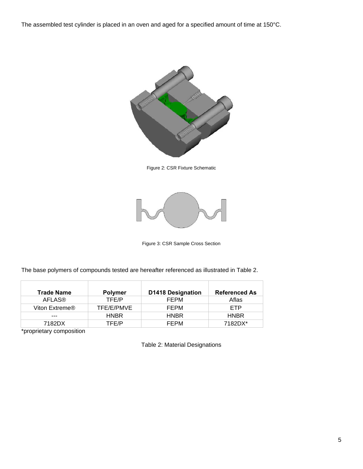The assembled test cylinder is placed in an oven and aged for a specified amount of time at 150°C.



Figure 2: CSR Fixture Schematic



Figure 3: CSR Sample Cross Section

The base polymers of compounds tested are hereafter referenced as illustrated in Table 2.

| <b>Trade Name</b>          | <b>Polymer</b> | <b>D1418 Designation</b> | <b>Referenced As</b> |
|----------------------------|----------------|--------------------------|----------------------|
| <b>AFLAS®</b>              | TFE/P          | <b>FEPM</b>              | Aflas                |
| Viton Extreme <sup>®</sup> | TFE/E/PMVE     | <b>FEPM</b>              | <b>FTP</b>           |
| ---                        | <b>HNBR</b>    | <b>HNBR</b>              | <b>HNBR</b>          |
| 7182DX                     | TFE/P          | <b>FEPM</b>              | 7182DX*              |
| $\cdots$<br>-1-            |                |                          |                      |

\*proprietary composition

Table 2: Material Designations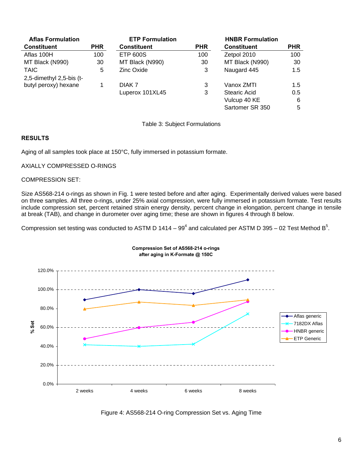| <b>Aflas Formulation</b> |            | <b>ETP Formulation</b> |            | <b>HNBR Formulation</b> |            |
|--------------------------|------------|------------------------|------------|-------------------------|------------|
| <b>Constituent</b>       | <b>PHR</b> | <b>Constituent</b>     | <b>PHR</b> | <b>Constituent</b>      | <b>PHR</b> |
| Aflas 100H               | 100        | <b>ETP 600S</b>        | 100        | Zetpol 2010             | 100        |
| MT Black (N990)          | 30         | MT Black (N990)        | 30         | MT Black (N990)         | 30         |
| <b>TAIC</b>              | 5          | <b>Zinc Oxide</b>      | 3          | Naugard 445             | 1.5        |
| 2,5-dimethyl 2,5-bis (t- |            |                        |            |                         |            |
| butyl peroxy) hexane     |            | DIAK <sub>7</sub>      | 3          | Vanox ZMTI              | 1.5        |
|                          |            | Luperox 101XL45        | 3          | Stearic Acid            | 0.5        |
|                          |            |                        |            | Vulcup 40 KE            | 6          |
|                          |            |                        |            | Sartomer SR 350         | 5          |

# Table 3: Subject Formulations

# **RESULTS**

Aging of all samples took place at 150°C, fully immersed in potassium formate.

# AXIALLY COMPRESSED O-RINGS

## COMPRESSION SET:

Size AS568-214 o-rings as shown in Fig. 1 were tested before and after aging. Experimentally derived values were based on three samples. All three o-rings, under 25% axial compression, were fully immersed in potassium formate. Test results include compression set, percent retained strain energy density, percent change in elongation, percent change in tensile at break (TAB), and change in durometer over aging time; these are shown in figures 4 through 8 below.

Compression set testing was conducted to ASTM D 1414 – 99<sup>4</sup> and calculated per ASTM D 395 – 02 Test Method B<sup>5</sup>.



**Compression Set of AS568-214 o-rings**

Figure 4: AS568-214 O-ring Compression Set vs. Aging Time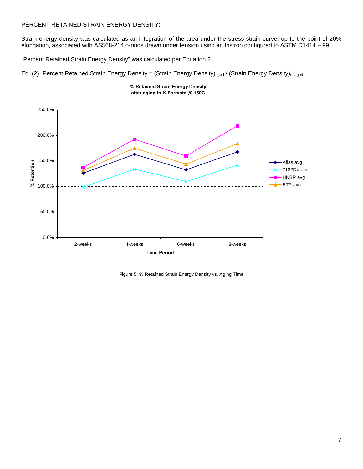## PERCENT RETAINED STRAIN ENERGY DENSITY:

Strain energy density was calculated as an integration of the area under the stress-strain curve, up to the point of 20% elongation, associated with AS568-214 o-rings drawn under tension using an Instron configured to ASTM D1414 – 99.

"Percent Retained Strain Energy Density" was calculated per Equation 2.

Eq. (2) Percent Retained Strain Energy Density = (Strain Energy Density)<sub>aged</sub> / (Strain Energy Density)<sub>unaged</sub>



**% Retained Strain Energy Density after aging in K-Formate @ 150C**

Figure 5: % Retained Strain Energy Density vs. Aging Time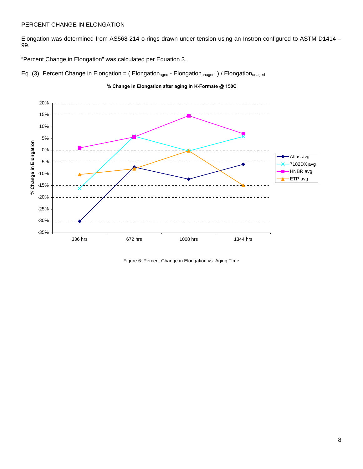Elongation was determined from AS568-214 o-rings drawn under tension using an Instron configured to ASTM D1414 – 99.

"Percent Change in Elongation" was calculated per Equation 3.

Eq. (3) Percent Change in Elongation = ( Elongation<sub>aged</sub> - Elongation<sub>unaged</sub> ) / Elongation<sub>unaged</sub>



**% Change in Elongation after aging in K-Formate @ 150C**

Figure 6: Percent Change in Elongation vs. Aging Time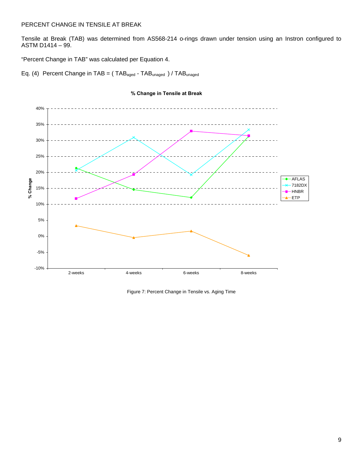#### PERCENT CHANGE IN TENSILE AT BREAK

Tensile at Break (TAB) was determined from AS568-214 o-rings drawn under tension using an Instron configured to ASTM D1414 – 99.

"Percent Change in TAB" was calculated per Equation 4.

Eq. (4) Percent Change in TAB = (TAB<sub>aged</sub> - TAB<sub>unaged</sub>) / TAB<sub>unaged</sub>



#### **% Change in Tensile at Break**

Figure 7: Percent Change in Tensile vs. Aging Time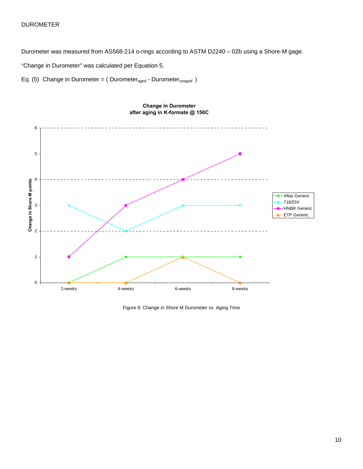# DUROMETER

Durometer was measured from AS568-214 o-rings according to ASTM D2240 – 02b using a Shore-M gage.

"Change in Durometer" was calculated per Equation 5.

Eq. (5) Change in Durometer = ( Durometer<sub>aged</sub> - Durometer<sub>unaged</sub> )



**Change in Durometer**

Figure 8: Change in Shore M Durometer vs. Aging Time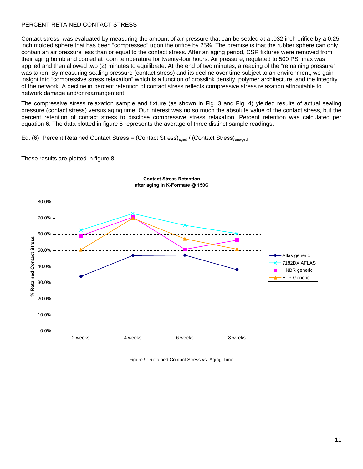# PERCENT RETAINED CONTACT STRESS

Contact stress was evaluated by measuring the amount of air pressure that can be sealed at a .032 inch orifice by a 0.25 inch molded sphere that has been "compressed" upon the orifice by 25%. The premise is that the rubber sphere can only contain an air pressure less than or equal to the contact stress. After an aging period, CSR fixtures were removed from their aging bomb and cooled at room temperature for twenty-four hours. Air pressure, regulated to 500 PSI max was applied and then allowed two (2) minutes to equilibrate. At the end of two minutes, a reading of the "remaining pressure" was taken. By measuring sealing pressure (contact stress) and its decline over time subject to an environment, we gain insight into "compressive stress relaxation" which is a function of crosslink density, polymer architecture, and the integrity of the network. A decline in percent retention of contact stress reflects compressive stress relaxation attributable to network damage and/or rearrangement.

The compressive stress relaxation sample and fixture (as shown in Fig. 3 and Fig. 4) yielded results of actual sealing pressure (contact stress) versus aging time. Our interest was no so much the absolute value of the contact stress, but the percent retention of contact stress to disclose compressive stress relaxation. Percent retention was calculated per equation 6. The data plotted in figure 5 represents the average of three distinct sample readings.

Eq. (6) Percent Retained Contact Stress =  $(Constant \, \, \, \text{Stress})_{a \text{med}} / (Content \, \, \, \text{Stress})_{unamed}$ 

These results are plotted in figure 8.



Figure 9: Retained Contact Stress vs. Aging Time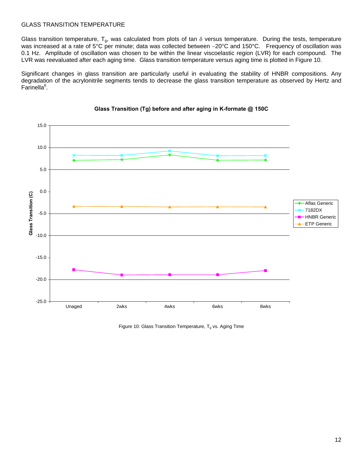#### GLASS TRANSITION TEMPERATURE

Glass transition temperature, T<sub>g</sub>, was calculated from plots of tan  $\delta$  versus temperature. During the tests, temperature was increased at a rate of 5°C per minute; data was collected between −20°C and 150°C. Frequency of oscillation was 0.1 Hz. Amplitude of oscillation was chosen to be within the linear viscoelastic region (LVR) for each compound. The LVR was reevaluated after each aging time. Glass transition temperature versus aging time is plotted in Figure 10.

Significant changes in glass transition are particularly useful in evaluating the stability of HNBR compositions. Any degradation of the acrylonitrile segments tends to decrease the glass transition temperature as observed by Hertz and Farinella<sup>6</sup>.



## **Glass Transition (Tg) before and after aging in K-formate @ 150C**

Figure 10: Glass Transition Temperature,  $T<sub>g</sub>$  vs. Aging Time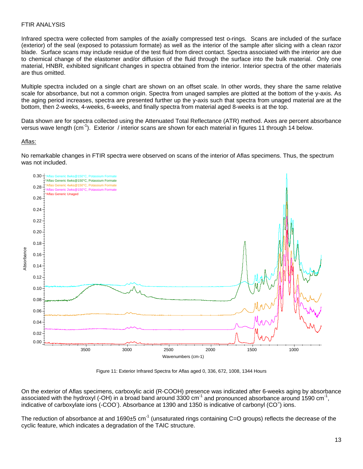## FTIR ANALYSIS

Infrared spectra were collected from samples of the axially compressed test o-rings. Scans are included of the surface (exterior) of the seal (exposed to potassium formate) as well as the interior of the sample after slicing with a clean razor blade. Surface scans may include residue of the test fluid from direct contact. Spectra associated with the interior are due to chemical change of the elastomer and/or diffusion of the fluid through the surface into the bulk material. Only one material, HNBR, exhibited significant changes in spectra obtained from the interior. Interior spectra of the other materials are thus omitted.

Multiple spectra included on a single chart are shown on an offset scale. In other words, they share the same relative scale for absorbance, but not a common origin. Spectra from unaged samples are plotted at the bottom of the y-axis. As the aging period increases, spectra are presented further up the y-axis such that spectra from unaged material are at the bottom, then 2-weeks, 4-weeks, 6-weeks, and finally spectra from material aged 8-weeks is at the top.

Data shown are for spectra collected using the Attenuated Total Reflectance (ATR) method. Axes are percent absorbance versus wave length (cm<sup>-1</sup>). Exterior / interior scans are shown for each material in figures 11 through 14 below.

#### Aflas:

No remarkable changes in FTIR spectra were observed on scans of the interior of Aflas specimens. Thus, the spectrum was not included.



Figure 11: Exterior Infrared Spectra for Aflas aged 0, 336, 672, 1008, 1344 Hours

On the exterior of Aflas specimens, carboxylic acid (R-COOH) presence was indicated after 6-weeks aging by absorbance associated with the hydroxyl (-OH) in a broad band around 3300 cm<sup>-1</sup> and pronounced absorbance around 1590 cm<sup>-1</sup>, indicative of carboxylate ions (-COO). Absorbance at 1390 and 1350 is indicative of carbonyl (CO<sup>=</sup>) ions.

The reduction of absorbance at and 1690 $\pm$ 5 cm<sup>-1</sup> (unsaturated rings containing C=O groups) reflects the decrease of the cyclic feature, which indicates a degradation of the TAIC structure.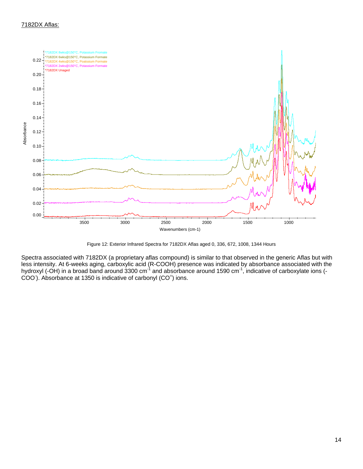

Figure 12: Exterior Infrared Spectra for 7182DX Aflas aged 0, 336, 672, 1008, 1344 Hours

Spectra associated with 7182DX (a proprietary aflas compound) is similar to that observed in the generic Aflas but with less intensity. At 6-weeks aging, carboxylic acid (R-COOH) presence was indicated by absorbance associated with the hydroxyl (-OH) in a broad band around 3300 cm<sup>-1</sup> and absorbance around 1590 cm<sup>-1</sup>, indicative of carboxylate ions (-COO). Absorbance at 1350 is indicative of carbonyl (CO<sup>=</sup>) ions.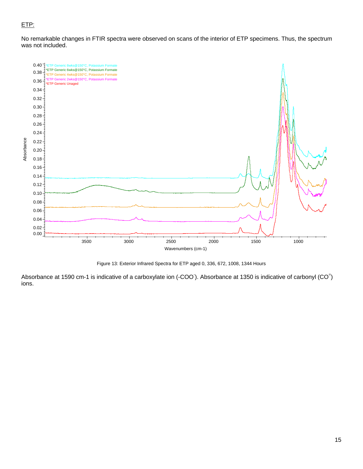# ETP:

No remarkable changes in FTIR spectra were observed on scans of the interior of ETP specimens. Thus, the spectrum was not included.



Figure 13: Exterior Infrared Spectra for ETP aged 0, 336, 672, 1008, 1344 Hours

Absorbance at 1590 cm-1 is indicative of a carboxylate ion (-COO). Absorbance at 1350 is indicative of carbonyl (CO<sup>=</sup>) ions.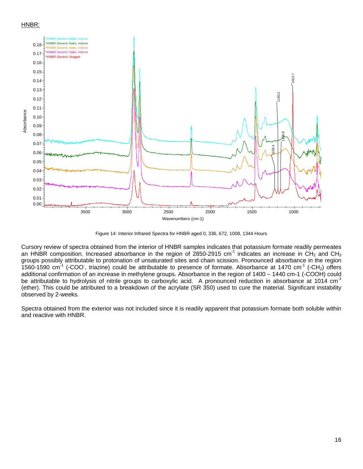## HNBR:



Figure 14: Interior Infrared Spectra for HNBR aged 0, 336, 672, 1008, 1344 Hours

Cursory review of spectra obtained from the interior of HNBR samples indicates that potassium formate readily permeates an HNBR composition. Increased absorbance in the region of 2850-2915 cm<sup>-1</sup> indicates an increase in CH<sub>2</sub> and CH<sub>3</sub> groups possibly attributable to protonation of unsaturated sites and chain scission. Pronounced absorbance in the region 1560-1590 cm<sup>-1</sup> (-COO, triazine) could be attributable to presence of formate. Absorbance at 1470 cm<sup>-1</sup> (-CH<sub>2</sub>) offers additional confirmation of an increase in methylene groups. Absorbance in the region of 1400 – 1440 cm-1 (-COOH) could be attributable to hydrolysis of nitrile groups to carboxylic acid. A pronounced reduction in absorbance at 1014 cm<sup>-1</sup> (ether). This could be attributed to a breakdown of the acrylate (SR 350) used to cure the material. Significant instability observed by 2-weeks.

Spectra obtained from the exterior was not included since it is readily apparent that potassium formate both soluble within and reactive with HNBR.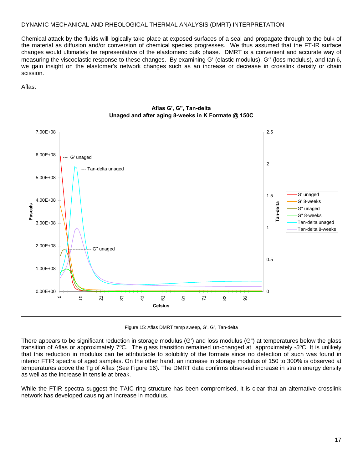#### DYNAMIC MECHANICAL AND RHEOLOGICAL THERMAL ANALYSIS (DMRT) INTERPRETATION

Chemical attack by the fluids will logically take place at exposed surfaces of a seal and propagate through to the bulk of the material as diffusion and/or conversion of chemical species progresses. We thus assumed that the FT-IR surface changes would ultimately be representative of the elastomeric bulk phase. DMRT is a convenient and accurate way of measuring the viscoelastic response to these changes. By examining G' (elastic modulus), G'' (loss modulus), and tan δ, we gain insight on the elastomer's network changes such as an increase or decrease in crosslink density or chain scission.

Aflas:



## **Aflas G', G", Tan-delta Unaged and after aging 8-weeks in K Formate @ 150C**

Figure 15: Aflas DMRT temp sweep, G', G", Tan-delta

There appears to be significant reduction in storage modulus (G') and loss modulus (G") at temperatures below the glass transition of Aflas or approximately 7ºC. The glass transition remained un-changed at approximately -5ºC. It is unlikely that this reduction in modulus can be attributable to solubility of the formate since no detection of such was found in interior FTIR spectra of aged samples. On the other hand, an increase in storage modulus of 150 to 300% is observed at temperatures above the Tg of Aflas (See Figure 16). The DMRT data confirms observed increase in strain energy density as well as the increase in tensile at break.

While the FTIR spectra suggest the TAIC ring structure has been compromised, it is clear that an alternative crosslink network has developed causing an increase in modulus.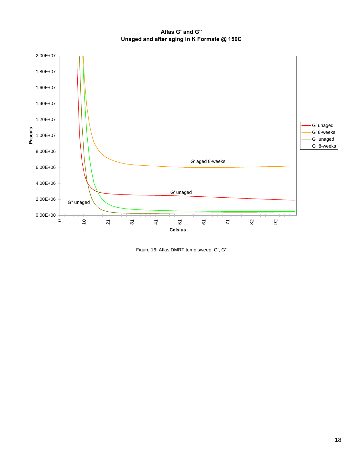**Aflas G' and G" Unaged and after aging in K Formate @ 150C**



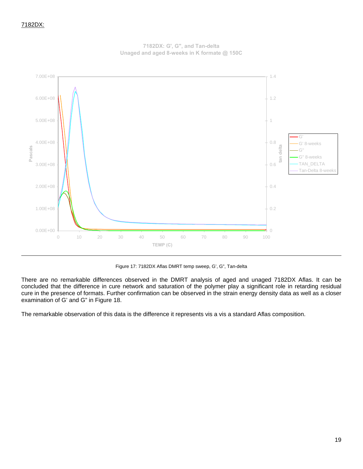

**7182DX: G', G", and Tan-delta Unaged and aged 8-weeks in K formate @ 150C**

Figure 17: 7182DX Aflas DMRT temp sweep, G', G", Tan-delta

There are no remarkable differences observed in the DMRT analysis of aged and unaged 7182DX Aflas. It can be concluded that the difference in cure network and saturation of the polymer play a significant role in retarding residual cure in the presence of formats. Further confirmation can be observed in the strain energy density data as well as a closer examination of G' and G" in Figure 18.

The remarkable observation of this data is the difference it represents vis a vis a standard Aflas composition.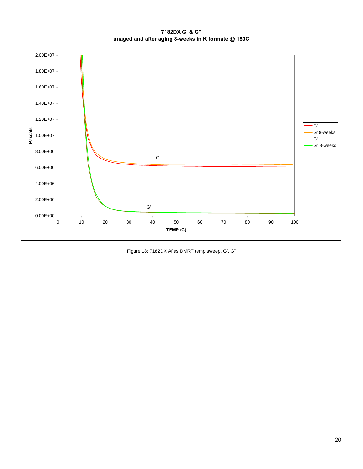**7182DX G' & G" unaged and after aging 8-weeks in K formate @ 150C**



Figure 18: 7182DX Aflas DMRT temp sweep, G', G"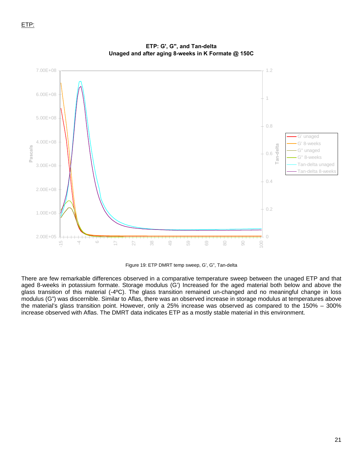

**ETP: G', G", and Tan-delta Unaged and after aging 8-weeks in K Formate @ 150C**

Figure 19: ETP DMRT temp sweep, G', G", Tan-delta

There are few remarkable differences observed in a comparative temperature sweep between the unaged ETP and that aged 8-weeks in potassium formate. Storage modulus (G') Increased for the aged material both below and above the glass transition of this material (-4ºC). The glass transition remained un-changed and no meaningful change in loss modulus (G") was discernible. Similar to Aflas, there was an observed increase in storage modulus at temperatures above the material's glass transition point. However, only a 25% increase was observed as compared to the 150% – 300% increase observed with Aflas. The DMRT data indicates ETP as a mostly stable material in this environment.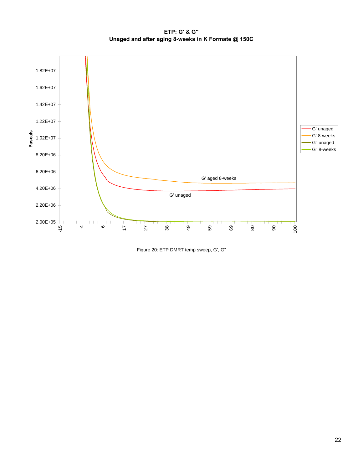**ETP: G' & G" Unaged and after aging 8-weeks in K Formate @ 150C**



Figure 20: ETP DMRT temp sweep, G', G"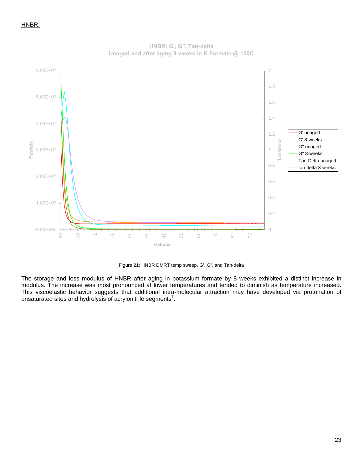

**HNBR: G', G", Tan-delta Unaged and after aging 8-weeks in K Formate @ 150C**

Figure 21: HNBR DMRT temp sweep, G', G", and Tan-delta

The storage and loss modulus of HNBR after aging in potassium formate by 8 weeks exhibited a distinct increase in modulus. The increase was most pronounced at lower temperatures and tended to diminish as temperature increased. This viscoelastic behavior suggests that additional intra-molecular attraction may have developed via protonation of unsaturated sites and hydrolysis of acrylonitrile segments<sup>7</sup>.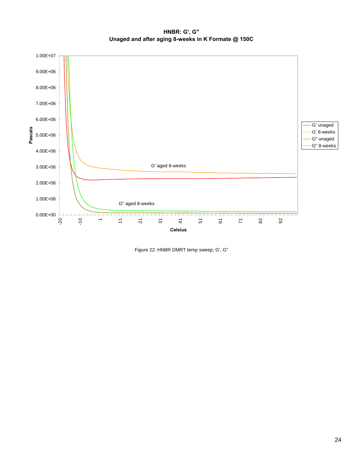**HNBR: G', G" Unaged and after aging 8-weeks in K Formate @ 150C**



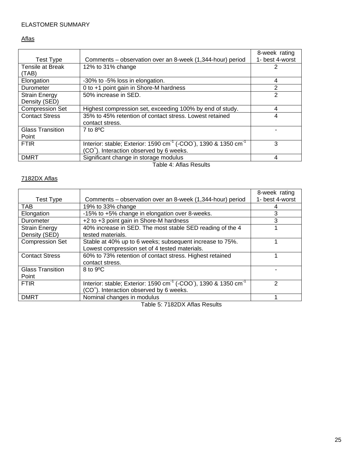# Aflas

|                                                                               |                                                                                        | 8-week rating   |  |
|-------------------------------------------------------------------------------|----------------------------------------------------------------------------------------|-----------------|--|
| <b>Test Type</b><br>Comments – observation over an 8-week (1,344-hour) period |                                                                                        | 1- best 4-worst |  |
| Tensile at Break                                                              | 12% to 31% change                                                                      |                 |  |
| (TAB)                                                                         |                                                                                        |                 |  |
| Elongation                                                                    | -30% to -5% loss in elongation.                                                        | 4               |  |
| Durometer                                                                     | 0 to +1 point gain in Shore-M hardness                                                 | 2               |  |
| <b>Strain Energy</b>                                                          | 50% increase in SED.                                                                   | 2               |  |
| Density (SED)                                                                 |                                                                                        |                 |  |
| <b>Compression Set</b>                                                        | Highest compression set, exceeding 100% by end of study.                               | 4               |  |
| <b>Contact Stress</b>                                                         | 35% to 45% retention of contact stress. Lowest retained                                | 4               |  |
|                                                                               | contact stress.                                                                        |                 |  |
| <b>Glass Transition</b>                                                       | 7 to $8^{\circ}$ C                                                                     |                 |  |
| Point                                                                         |                                                                                        |                 |  |
| <b>FTIR</b>                                                                   | Interior: stable; Exterior: 1590 cm <sup>-1</sup> (-COO), 1390 & 1350 cm <sup>-1</sup> | 3               |  |
|                                                                               | (CO <sup>=</sup> ). Interaction observed by 6 weeks.                                   |                 |  |
| <b>DMRT</b>                                                                   | Significant change in storage modulus                                                  | 4               |  |

Table 4: Aflas Results

# 7182DX Aflas

|                         |                                                                                                      | 8-week rating |
|-------------------------|------------------------------------------------------------------------------------------------------|---------------|
| <b>Test Type</b>        | Comments – observation over an 8-week (1,344-hour) period                                            |               |
| <b>TAB</b>              | 19% to 33% change                                                                                    |               |
| Elongation              | -15% to +5% change in elongation over 8-weeks.                                                       | 3             |
| Durometer               | +2 to +3 point gain in Shore-M hardness                                                              | 3             |
| <b>Strain Energy</b>    | 40% increase in SED. The most stable SED reading of the 4                                            |               |
| Density (SED)           | tested materials.                                                                                    |               |
| <b>Compression Set</b>  | Stable at 40% up to 6 weeks; subsequent increase to 75%.                                             |               |
|                         | Lowest compression set of 4 tested materials.                                                        |               |
| <b>Contact Stress</b>   | 60% to 73% retention of contact stress. Highest retained                                             |               |
|                         | contact stress.                                                                                      |               |
| <b>Glass Transition</b> | $8$ to $9^{\circ}$ C                                                                                 |               |
| Point                   |                                                                                                      |               |
| <b>FTIR</b>             | Interior: stable; Exterior: 1590 cm <sup>-1</sup> (-COO <sup>'</sup> ), 1390 & 1350 cm <sup>-1</sup> | 2             |
|                         | (CO <sup>=</sup> ). Interaction observed by 6 weeks.                                                 |               |
| <b>DMRT</b>             | Nominal changes in modulus                                                                           |               |

Table 5: 7182DX Aflas Results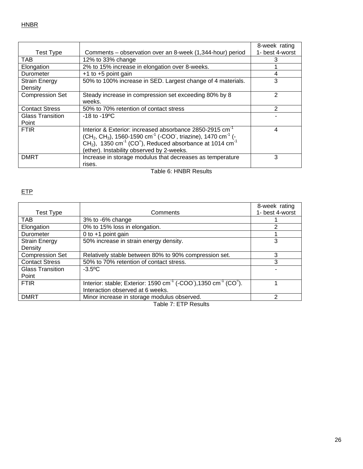|                                                                                           |                                                                                                                                                                                                   | 8-week rating   |
|-------------------------------------------------------------------------------------------|---------------------------------------------------------------------------------------------------------------------------------------------------------------------------------------------------|-----------------|
| Comments – observation over an 8-week (1,344-hour) period<br><b>Test Type</b>             |                                                                                                                                                                                                   | 1- best 4-worst |
| TAB                                                                                       | 12% to 33% change                                                                                                                                                                                 |                 |
| Elongation                                                                                | 2% to 15% increase in elongation over 8-weeks.                                                                                                                                                    |                 |
| Durometer                                                                                 | $+1$ to $+5$ point gain                                                                                                                                                                           | 4               |
| <b>Strain Energy</b>                                                                      | 50% to 100% increase in SED. Largest change of 4 materials.                                                                                                                                       | 3               |
| Density                                                                                   |                                                                                                                                                                                                   |                 |
| <b>Compression Set</b><br>Steady increase in compression set exceeding 80% by 8<br>weeks. |                                                                                                                                                                                                   | 2               |
| <b>Contact Stress</b>                                                                     | 50% to 70% retention of contact stress                                                                                                                                                            |                 |
| <b>Glass Transition</b>                                                                   | $-18$ to $-19^{\circ}$ C                                                                                                                                                                          |                 |
| Point                                                                                     |                                                                                                                                                                                                   |                 |
| <b>FTIR</b>                                                                               | Interior & Exterior: increased absorbance 2850-2915 cm <sup>-1</sup><br>(CH <sub>2</sub> , CH <sub>3</sub> ), 1560-1590 cm <sup>-1</sup> (-COO <sup>-</sup> , triazine), 1470 cm <sup>-1</sup> (- | 4               |
|                                                                                           | CH <sub>2</sub> ), 1350 cm <sup>-1</sup> (CO <sup>=</sup> ), Reduced absorbance at 1014 cm <sup>-1</sup>                                                                                          |                 |
|                                                                                           | (ether). Instability observed by 2-weeks.                                                                                                                                                         |                 |
| <b>DMRT</b>                                                                               | Increase in storage modulus that decreases as temperature                                                                                                                                         | 3               |
|                                                                                           | rises.                                                                                                                                                                                            |                 |

# Table 6: HNBR Results

# ETP

|                         |                                                                                                     | 8-week rating   |
|-------------------------|-----------------------------------------------------------------------------------------------------|-----------------|
| <b>Test Type</b>        | Comments                                                                                            | 1- best 4-worst |
| TAB                     | 3% to -6% change                                                                                    |                 |
| Elongation              | 0% to 15% loss in elongation.                                                                       | 2               |
| Durometer               | 0 to $+1$ point gain                                                                                |                 |
| <b>Strain Energy</b>    | 50% increase in strain energy density.                                                              | 3               |
| Density                 |                                                                                                     |                 |
| <b>Compression Set</b>  | Relatively stable between 80% to 90% compression set.                                               | 3               |
| <b>Contact Stress</b>   | 50% to 70% retention of contact stress.                                                             | 3               |
| <b>Glass Transition</b> | $-3.5^{\circ}$ C                                                                                    |                 |
| Point                   |                                                                                                     |                 |
| <b>FTIR</b>             | Interior: stable; Exterior: 1590 cm <sup>-1</sup> (-COO), 1350 cm <sup>-1</sup> (CO <sup>=</sup> ). |                 |
|                         | Interaction observed at 6 weeks.                                                                    |                 |
| <b>DMRT</b>             | Minor increase in storage modulus observed.                                                         | 2               |

Table 7: ETP Results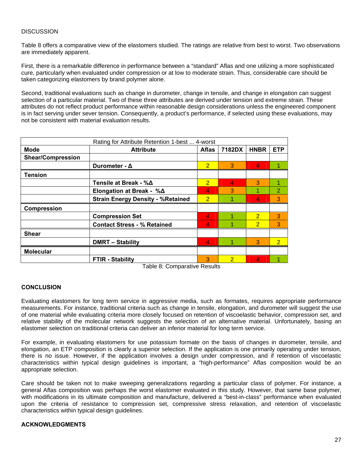#### **DISCUSSION**

Table 8 offers a comparative view of the elastomers studied. The ratings are relative from best to worst. Two observations are immediately apparent.

First, there is a remarkable difference in performance between a "standard" Aflas and one utilizing a more sophisticated cure, particularly when evaluated under compression or at low to moderate strain. Thus, considerable care should be taken categorizing elastomers by brand polymer alone.

Second, traditional evaluations such as change in durometer, change in tensile, and change in elongation can suggest selection of a particular material. Two of these three attributes are derived under tension and extreme strain. These attributes do not reflect product performance within reasonable design considerations unless the engineered component is in fact serving under sever tension. Consequently, a product's performance, if selected using these evaluations, may not be consistent with material evaluation results.

| Rating for Attribute Retention 1-best  4-worst |                                          |                |        |                |                |
|------------------------------------------------|------------------------------------------|----------------|--------|----------------|----------------|
| <b>Mode</b>                                    | <b>Attribute</b>                         | <b>Aflas</b>   | 7182DX | <b>HNBR</b>    | <b>ETP</b>     |
| <b>Shear/Compression</b>                       |                                          |                |        |                |                |
|                                                | Durometer - $\Delta$                     | $\overline{2}$ | 3      | 4              |                |
| <b>Tension</b>                                 |                                          |                |        |                |                |
|                                                | Tensile at Break - %∆                    | $\overline{2}$ | 4      | 3              |                |
|                                                | Elongation at Break - %∆                 | 4              | 3      |                | 2              |
|                                                | <b>Strain Energy Density - %Retained</b> | $\overline{2}$ |        | 4              | 3              |
| Compression                                    |                                          |                |        |                |                |
|                                                | <b>Compression Set</b>                   | 4              |        | $\overline{2}$ | 3              |
|                                                | <b>Contact Stress - % Retained</b>       | 4              |        | $\overline{2}$ | 3              |
| <b>Shear</b>                                   |                                          |                |        |                |                |
|                                                | <b>DMRT - Stability</b>                  | 4              |        | 3              | $\overline{2}$ |
| <b>Molecular</b>                               |                                          |                |        |                |                |
|                                                | <b>FTIR - Stability</b>                  | 3              | 2      | 4              |                |

Table 8: Comparative Results

#### **CONCLUSION**

Evaluating elastomers for long term service in aggressive media, such as formates, requires appropriate performance measurements. For instance, traditional criteria such as change in tensile, elongation, and durometer will suggest the use of one material while evaluating criteria more closely focused on retention of viscoelastic behavior, compression set, and relative stability of the molecular network suggests the selection of an alternative material. Unfortunately, basing an elastomer selection on traditional criteria can deliver an inferior material for long term service.

For example, in evaluating elastomers for use potassium formate on the basis of changes in durometer, tensile, and elongation, an ETP composition is clearly a superior selection. If the application is one primarily operating under tension, there is no issue. However, if the application involves a design under compression, and if retention of viscoelastic characteristics within typical design guidelines is important, a "high-performance" Aflas composition would be an appropriate selection.

Care should be taken not to make sweeping generalizations regarding a particular class of polymer. For instance, a general Aflas composition was perhaps the worst elastomer evaluated in this study. However, that same base polymer, with modifications in its ultimate composition and manufacture, delivered a "best-in-class" performance when evaluated upon the criteria of resistance to compression set, compressive stress relaxation, and retention of viscoelastic characteristics within typical design guidelines.

#### **ACKNOWLEDGMENTS**